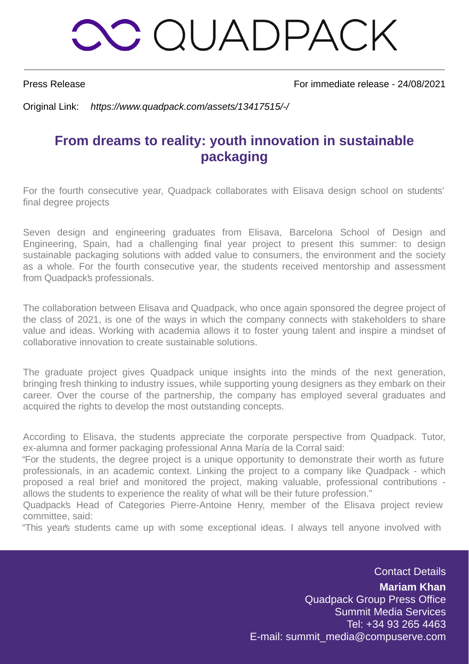### **OO QUADPACK**

Press Release For immediate release - 24/08/2021

Original Link: https://www.quadpack.com/assets/13417515/-/

#### **From dreams to reality: youth innovation in sustainable packaging**

For the fourth consecutive year, Quadpack collaborates with Elisava design school on students' final degree projects

Seven design and engineering graduates from Elisava, Barcelona School of Design and Engineering, Spain, had a challenging final year project to present this summer: to design sustainable packaging solutions with added value to consumers, the environment and the society as a whole. For the fourth consecutive year, the students received mentorship and assessment from Quadpack's professionals.

The collaboration between Elisava and Quadpack, who once again sponsored the degree project of the class of 2021, is one of the ways in which the company connects with stakeholders to share value and ideas. Working with academia allows it to foster young talent and inspire a mindset of collaborative innovation to create sustainable solutions.

The graduate project gives Quadpack unique insights into the minds of the next generation, bringing fresh thinking to industry issues, while supporting young designers as they embark on their career. Over the course of the partnership, the company has employed several graduates and acquired the rights to develop the most outstanding concepts.

According to Elisava, the students appreciate the corporate perspective from Quadpack. Tutor, ex-alumna and former packaging professional Anna María de la Corral said:

"For the students, the degree project is a unique opportunity to demonstrate their worth as future professionals, in an academic context. Linking the project to a company like Quadpack - which proposed a real brief and monitored the project, making valuable, professional contributions allows the students to experience the reality of what will be their future profession."

Quadpack's Head of Categories Pierre-Antoine Henry, member of the Elisava project review committee, said:

"This year's students came up with some exceptional ideas. I always tell anyone involved with

Contact Details

**Mariam Khan** Quadpack Group Press Office Summit Media Services Tel: +34 93 265 4463 E-mail: summit\_media@compuserve.com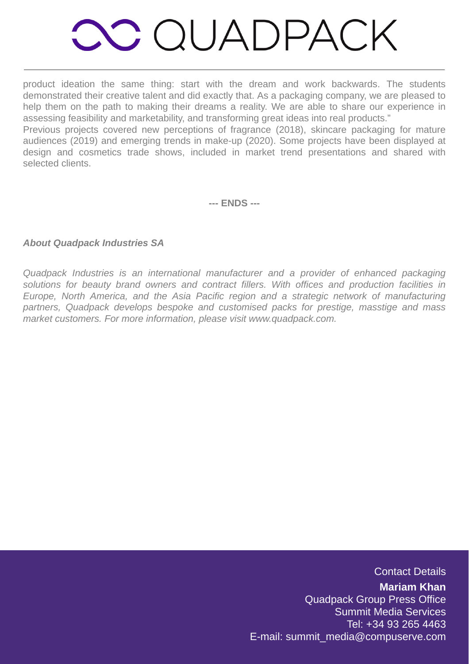## **OC QUADPACK**

product ideation the same thing: start with the dream and work backwards. The students demonstrated their creative talent and did exactly that. As a packaging company, we are pleased to help them on the path to making their dreams a reality. We are able to share our experience in assessing feasibility and marketability, and transforming great ideas into real products."

Previous projects covered new perceptions of fragrance (2018), skincare packaging for mature audiences (2019) and emerging trends in make-up (2020). Some projects have been displayed at design and cosmetics trade shows, included in market trend presentations and shared with selected clients.

**--- ENDS ---**

#### **About Quadpack Industries SA**

Quadpack Industries is an international manufacturer and a provider of enhanced packaging solutions for beauty brand owners and contract fillers. With offices and production facilities in Europe, North America, and the Asia Pacific region and a strategic network of manufacturing partners, Quadpack develops bespoke and customised packs for prestige, masstige and mass market customers. For more information, please visit www.quadpack.com.

Contact Details

**Mariam Khan** Quadpack Group Press Office Summit Media Services Tel: +34 93 265 4463 E-mail: summit\_media@compuserve.com